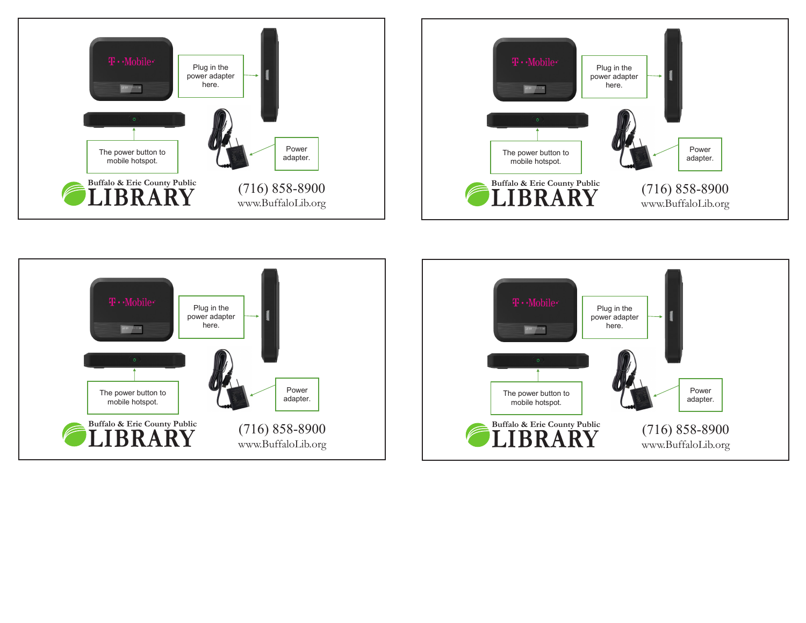